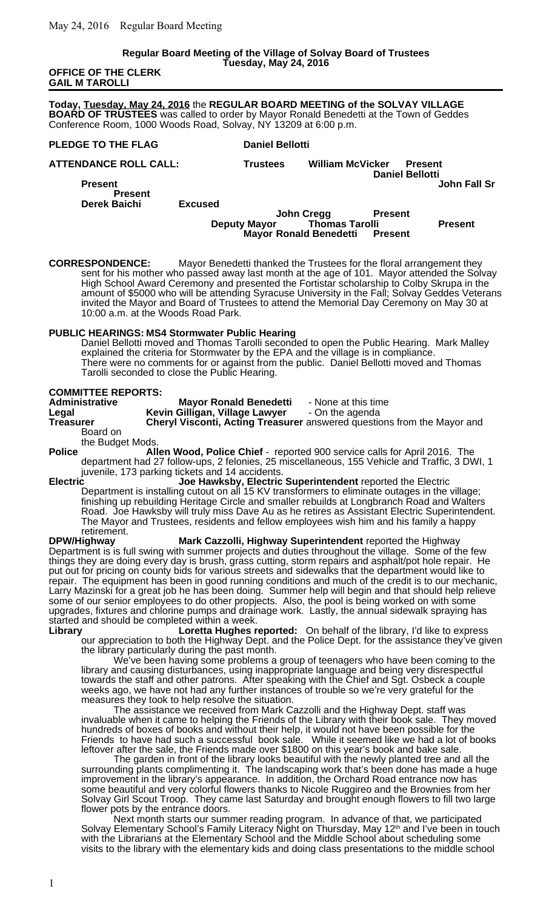#### **Regular Board Meeting of the Village of Solvay Board of Trustees Tuesday, May 24, 2016**

#### **OFFICE OF THE CLERK GAIL M TAROLLI**

**Today, Tuesday, May 24, 2016** the **REGULAR BOARD MEETING of the SOLVAY VILLAGE BOARD OF TRUSTEES** was called to order by Mayor Ronald Benedetti at the Town of Geddes Conference Room, 1000 Woods Road, Solvay, NY 13209 at 6:00 p.m.

### **PLEDGE TO THE FLAG** Daniel Bellotti

**ATTENDANCE ROLL CALL: Trustees William McVicker Present Daniel Bellotti Present John Fall Sr Present Derek Baichi Excused John Cregg Present Deputy Mayor Thomas Tarolli Present Mayor Ronald Benedetti Present**

**CORRESPONDENCE:** Mayor Benedetti thanked the Trustees for the floral arrangement they sent for his mother who passed away last month at the age of 101. Mayor attended the Solvay High School Award Ceremony and presented the Fortistar scholarship to Colby Skrupa in the amount of \$5000 who will be attending Syracuse University in the Fall; Solvay Geddes Veterans invited the Mayor and Board of Trustees to attend the Memorial Day Ceremony on May 30 at 10:00 a.m. at the Woods Road Park.

## **PUBLIC HEARINGS: MS4 Stormwater Public Hearing**

Daniel Bellotti moved and Thomas Tarolli seconded to open the Public Hearing. Mark Malley explained the criteria for Stormwater by the EPA and the village is in compliance. There were no comments for or against from the public. Daniel Bellotti moved and Thomas Tarolli seconded to close the Public Hearing.

## **COMMITTEE REPORTS:**

| <b>Administrative</b> | <b>Mayor Ronald Benedetti</b>  | - None at this time                                                            |
|-----------------------|--------------------------------|--------------------------------------------------------------------------------|
| Legal                 | Kevin Gilligan, Village Lawyer | - On the agenda                                                                |
| Treasurer             |                                | <b>Cheryl Visconti, Acting Treasurer</b> answered questions from the Mayor and |
| Board on              |                                |                                                                                |
| the Budget Mods.      |                                |                                                                                |
| <b>Police</b>         |                                | Allen Wood, Police Chief - reported 900 service calls for April 2016. The      |

department had 27 follow-ups, 2 felonies, 25 miscellaneous, 155 Vehicle and Traffic, 3 DWI, 1 juvenile, 173 parking tickets and 14 accidents.<br>Joe Hawksby. Electric

**Electric Joe Hawksby, Electric Superintendent** reported the Electric Department is installing cutout on all 15 KV transformers to eliminate outages in the village; finishing up rebuilding Heritage Circle and smaller rebuilds at Longbranch Road and Walters Road. Joe Hawksby will truly miss Dave Au as he retires as Assistant Electric Superintendent. The Mayor and Trustees, residents and fellow employees wish him and his family a happy

retirement.<br>DPW/Highway **Mark Cazzolli, Highway Superintendent** reported the Highway Department is is full swing with summer projects and duties throughout the village. Some of the few things they are doing every day is brush, grass cutting, storm repairs and asphalt/pot hole repair. He put out for pricing on county bids for various streets and sidewalks that the department would like to repair. The equipment has been in good running conditions and much of the credit is to our mechanic, Larry Mazinski for a great job he has been doing. Summer help will begin and that should help relieve some of our senior employees to do other propjects. Also, the pool is being worked on with some upgrades, fixtures and chlorine pumps and drainage work. Lastly, the annual sidewalk spraying has started and should be completed within a week.<br>
Library Loretta Hughes r

Loretta Hughes reported: On behalf of the library, I'd like to express our appreciation to both the Highway Dept. and the Police Dept. for the assistance they've given the library particularly during the past month.

We've been having some problems a group of teenagers who have been coming to the library and causing disturbances, using inappropriate language and being very disrespectful towards the staff and other patrons. After speaking with the Chief and Sgt. Osbeck a couple weeks ago, we have not had any further instances of trouble so we're very grateful for the measures they took to help resolve the situation.

The assistance we received from Mark Cazzolli and the Highway Dept. staff was invaluable when it came to helping the Friends of the Library with their book sale. They moved hundreds of boxes of books and without their help, it would not have been possible for the Friends to have had such a successful book sale. While it seemed like we had a lot of books leftover after the sale, the Friends made over \$1800 on this year's book and bake sale.

The garden in front of the library looks beautiful with the newly planted tree and all the surrounding plants complimenting it. The landscaping work that's been done has made a huge improvement in the library's appearance. In addition, the Orchard Road entrance now has some beautiful and very colorful flowers thanks to Nicole Ruggireo and the Brownies from her Solvay Girl Scout Troop. They came last Saturday and brought enough flowers to fill two large flower pots by the entrance doors.

Next month starts our summer reading program. In advance of that, we participated Solvay Elementary School's Family Literacy Night on Thursday, May 12<sup>th</sup> and I've been in touch with the Librarians at the Elementary School and the Middle School about scheduling some visits to the library with the elementary kids and doing class presentations to the middle school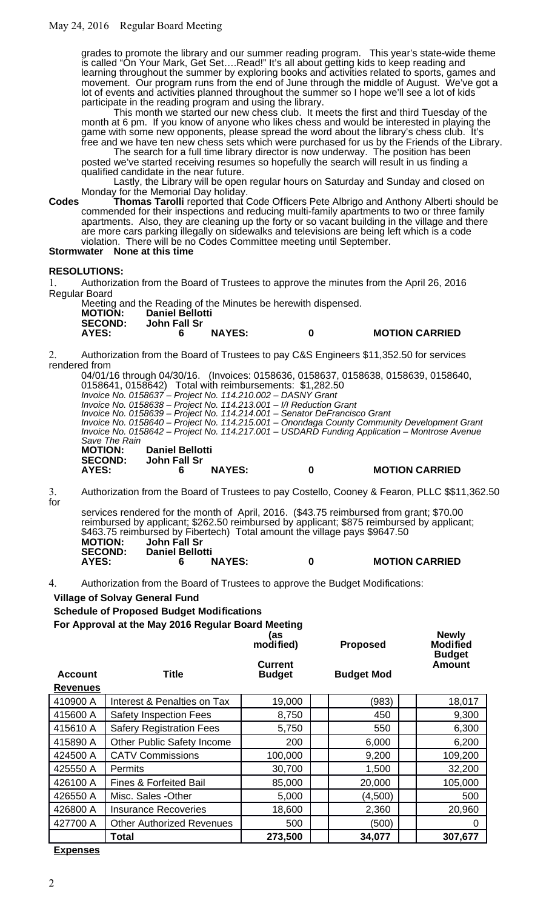grades to promote the library and our summer reading program. This year's state-wide theme is called "On Your Mark, Get Set….Read!" It's all about getting kids to keep reading and learning throughout the summer by exploring books and activities related to sports, games and movement. Our program runs from the end of June through the middle of August. We've got a lot of events and activities planned throughout the summer so I hope we'll see a lot of kids participate in the reading program and using the library.

This month we started our new chess club. It meets the first and third Tuesday of the month at 6 pm. If you know of anyone who likes chess and would be interested in playing the game with some new opponents, please spread the word about the library's chess club. It's free and we have ten new chess sets which were purchased for us by the Friends of the Library.

The search for a full time library director is now underway. The position has been posted we've started receiving resumes so hopefully the search will result in us finding a qualified candidate in the near future.

Lastly, the Library will be open regular hours on Saturday and Sunday and closed on Monday for the Memorial Day holiday.

**Codes Thomas Tarolli** reported that Code Officers Pete Albrigo and Anthony Alberti should be commended for their inspections and reducing multi-family apartments to two or three family apartments. Also, they are cleaning up the forty or so vacant building in the village and there are more cars parking illegally on sidewalks and televisions are being left which is a code violation. There will be no Codes Committee meeting until September. **Stormwater None at this time**

## **RESOLUTIONS:**

1. Authorization from the Board of Trustees to approve the minutes from the April 26, 2016 Regular Board

Meeting and the Reading of the Minutes be herewith dispensed. **MOTION: Daniel Bellotti SECOND: John Fall Sr AYES: 6 NAYES: 0 MOTION CARRIED**

2. Authorization from the Board of Trustees to pay C&S Engineers \$11,352.50 for services rendered from

04/01/16 through 04/30/16. (Invoices: 0158636, 0158637, 0158638, 0158639, 0158640, 0158641, 0158642) Total with reimbursements: \$1,282.50 Invoice No. 0158637 – Project No. 114.210.002 – DASNY Grant Invoice No. 0158638 – Project No. 114.213.001 – I/I Reduction Grant Invoice No. 0158639 – Project No. 114.214.001 – Senator DeFrancisco Grant Invoice No. 0158640 – Project No. 114.215.001 – Onondaga County Community Development Grant Invoice No. 0158642 – Project No. 114.217.001 – USDARD Funding Application – Montrose Avenue Save The Rain<br>**MOTION: MOTION: Daniel Bellotti SECOND: John Fall Sr AYES: 6 NAYES: 0 MOTION CARRIED**

3. Authorization from the Board of Trustees to pay Costello, Cooney & Fearon, PLLC \$\$11,362.50 for

services rendered for the month of April, 2016. (\$43.75 reimbursed from grant; \$70.00 reimbursed by applicant; \$262.50 reimbursed by applicant; \$875 reimbursed by applicant; \$463.75 reimbursed by Fibertech) Total amount the village pays \$9647.50<br>MOTION: John Fall Sr **MOTION: John Fall Sr SECOND: Daniel Bellotti AYES: 6 NAYES: 0 MOTION CARRIED**

**(as**

**Newly**

4. Authorization from the Board of Trustees to approve the Budget Modifications:

## **Village of Solvay General Fund**

**Schedule of Proposed Budget Modifications**

**For Approval at the May 2016 Regular Board Meeting**

|                                   |                                   | modified)<br><b>Proposed</b>    |                   | <b>Modified</b><br><b>Budget</b> |  |
|-----------------------------------|-----------------------------------|---------------------------------|-------------------|----------------------------------|--|
| <b>Account</b><br><b>Revenues</b> | <b>Title</b>                      | <b>Current</b><br><b>Budget</b> | <b>Budget Mod</b> | Amount                           |  |
| 410900 A                          | Interest & Penalties on Tax       | 19,000                          | (983)             | 18,017                           |  |
| 415600 A                          | <b>Safety Inspection Fees</b>     | 8,750                           | 450               | 9,300                            |  |
| 415610 A                          | <b>Safery Registration Fees</b>   | 5,750                           | 550               | 6,300                            |  |
| 415890 A                          | Other Public Safety Income        | 200                             | 6,000             | 6,200                            |  |
| 424500 A                          | <b>CATV Commissions</b>           | 100,000                         | 9,200             | 109,200                          |  |
| 425550 A                          | <b>Permits</b>                    | 30,700                          | 1,500             | 32,200                           |  |
| 426100 A                          | <b>Fines &amp; Forfeited Bail</b> | 85,000                          | 20,000            | 105,000                          |  |
| 426550 A                          | Misc. Sales - Other               | 5,000                           | (4,500)           | 500                              |  |
| 426800 A                          | <b>Insurance Recoveries</b>       | 18,600                          | 2,360             | 20,960                           |  |
| 427700 A                          | <b>Other Authorized Revenues</b>  | 500                             | (500)             | 0                                |  |
|                                   | <b>Total</b>                      | 273,500                         | 34,077            | 307,677                          |  |

**Expenses**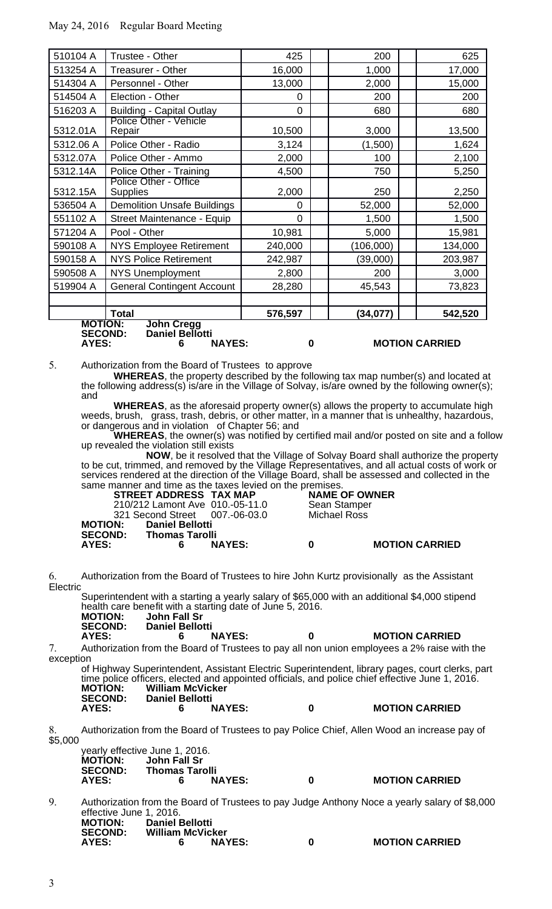| 510104 A  | Trustee - Other                                                                                                                              | 425      | 200       | 625     |  |  |
|-----------|----------------------------------------------------------------------------------------------------------------------------------------------|----------|-----------|---------|--|--|
| 513254 A  | Treasurer - Other                                                                                                                            | 16,000   | 1,000     | 17,000  |  |  |
| 514304 A  | Personnel - Other                                                                                                                            | 13,000   | 2,000     | 15,000  |  |  |
| 514504 A  | Election - Other                                                                                                                             | 0        | 200       | 200     |  |  |
| 516203 A  | <b>Building - Capital Outlay</b>                                                                                                             | $\Omega$ | 680       | 680     |  |  |
| 5312.01A  | Police Other - Vehicle<br>Repair                                                                                                             | 10,500   | 3,000     | 13,500  |  |  |
| 5312.06 A | Police Other - Radio                                                                                                                         | 3,124    | (1,500)   | 1,624   |  |  |
| 5312.07A  | Police Other - Ammo                                                                                                                          | 2,000    | 100       | 2,100   |  |  |
| 5312.14A  | Police Other - Training                                                                                                                      | 4,500    | 750       | 5,250   |  |  |
| 5312.15A  | <b>Police Other - Office</b><br><b>Supplies</b>                                                                                              | 2,000    | 250       | 2,250   |  |  |
| 536504 A  | <b>Demolition Unsafe Buildings</b>                                                                                                           | $\Omega$ | 52,000    | 52,000  |  |  |
| 551102 A  | Street Maintenance - Equip                                                                                                                   | $\Omega$ | 1,500     | 1,500   |  |  |
| 571204 A  | Pool - Other                                                                                                                                 | 10,981   | 5,000     | 15,981  |  |  |
| 590108 A  | <b>NYS Employee Retirement</b>                                                                                                               | 240,000  | (106,000) | 134,000 |  |  |
| 590158 A  | <b>NYS Police Retirement</b>                                                                                                                 | 242,987  | (39,000)  | 203,987 |  |  |
| 590508 A  | <b>NYS Unemployment</b>                                                                                                                      | 2,800    | 200       | 3,000   |  |  |
| 519904 A  | <b>General Contingent Account</b>                                                                                                            | 28,280   | 45,543    | 73,823  |  |  |
|           |                                                                                                                                              |          |           |         |  |  |
|           | <b>Total</b>                                                                                                                                 | 576,597  | (34, 077) | 542,520 |  |  |
|           | <b>MOTION:</b><br><b>John Cregg</b><br><b>Daniel Bellotti</b><br><b>SECOND:</b><br><b>NAYES:</b><br><b>MOTION CARRIED</b><br>AYES:<br>6<br>0 |          |           |         |  |  |

5. Authorization from the Board of Trustees to approve

**WHEREAS**, the property described by the following tax map number(s) and located at the following address(s) is/are in the Village of Solvay, is/are owned by the following owner(s); and

**WHEREAS**, as the aforesaid property owner(s) allows the property to accumulate high weeds, brush, grass, trash, debris, or other matter, in a manner that is unhealthy, hazardous, or dangerous and in violation of Chapter 56; and

**WHEREAS**, the owner(s) was notified by certified mail and/or posted on site and a follow up revealed the violation still exists

**NOW**, be it resolved that the Village of Solvay Board shall authorize the property to be cut, trimmed, and removed by the Village Representatives, and all actual costs of work or services rendered at the direction of the Village Board, shall be assessed and collected in the same manner and time as the taxes levied on the premises.<br>**STREET ADDRESS TAX MAP** MAME OF OWNER

**STREET ADDRESS TAX MAP** 210/212 Lamont Ave 010.-05-11.0 Sean Stamper 321 Second Street<br>MOTION: Daniel Bello **Daniel Bellotti SECOND: Thomas Tarolli**

# **AYES: 6 NAYES: 0 MOTION CARRIED**

6. Authorization from the Board of Trustees to hire John Kurtz provisionally as the Assistant **Electric** 

Superintendent with a starting a yearly salary of \$65,000 with an additional \$4,000 stipend health care benefit with a starting date of June 5, 2016.

| <b>MOTION:</b><br><b>SECOND:</b> | John Fall Sr<br><b>Daniel Bellotti</b> |   |                       |
|----------------------------------|----------------------------------------|---|-----------------------|
| AYES:                            | <b>NAYES:</b>                          | 0 | <b>MOTION CARRIED</b> |

7. Authorization from the Board of Trustees to pay all non union employees a 2% raise with the exception

of Highway Superintendent, Assistant Electric Superintendent, library pages, court clerks, part time police officers, elected and appointed officials, and police chief effective June 1, 2016.<br>MOTION: William McVicker **MOTION: William McVicker SECOND: Daniel Bellotti AYES: 6 NAYES: 0 MOTION CARRIED**

Authorization from the Board of Trustees to pay Police Chief, Allen Wood an increase pay of \$5,000

|                | yearly effective June 1, 2016. |   |
|----------------|--------------------------------|---|
| <b>MOTION:</b> | John Fall Sr                   |   |
| <b>SECOND:</b> | <b>Thomas Tarolli</b>          |   |
| AYES:          | <b>NAYES:</b>                  | 0 |

**AYES: 6 NAYES: 0 MOTION CARRIED**

9. Authorization from the Board of Trustees to pay Judge Anthony Noce a yearly salary of \$8,000 effective June 1, 2016.<br>**MOTION:** Daniel I **MOTION: Daniel Bellotti SECOND: William McVicker ASSEMBLEM ANATION CARRIED**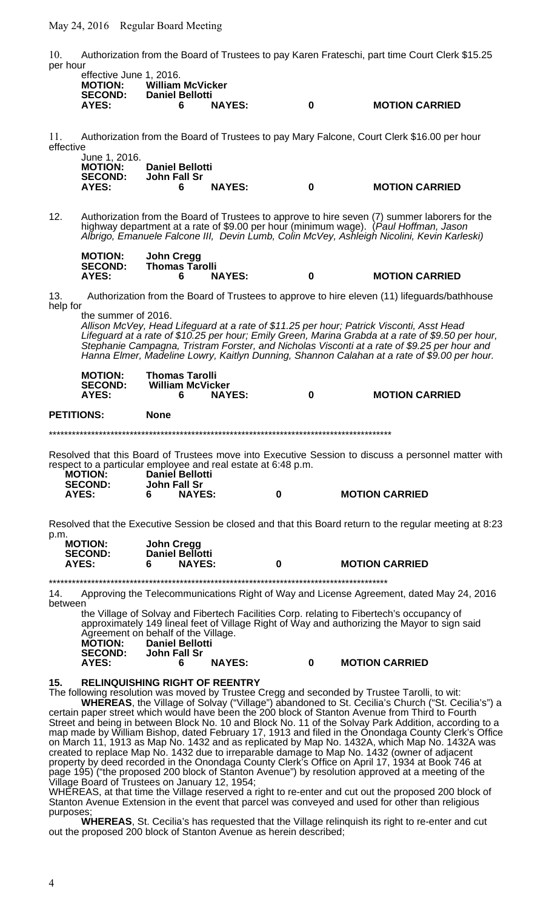10. Authorization from the Board of Trustees to pay Karen Frateschi, part time Court Clerk \$15.25 per hour

| effective June 1, 2016. |                         |               |   |                       |
|-------------------------|-------------------------|---------------|---|-----------------------|
| <b>MOTION:</b>          | <b>William McVicker</b> |               |   |                       |
| <b>SECOND:</b>          | <b>Daniel Bellotti</b>  |               |   |                       |
| AYES:                   | 6                       | <b>NAYES:</b> | 0 | <b>MOTION CARRIED</b> |
|                         |                         |               |   |                       |

11. Authorization from the Board of Trustees to pay Mary Falcone, Court Clerk \$16.00 per hour effective

|  | . |  |             |
|--|---|--|-------------|
|  |   |  | June 1, 201 |

| June 1, 2016.  |                        |               |   |                       |
|----------------|------------------------|---------------|---|-----------------------|
| <b>MOTION:</b> | <b>Daniel Bellotti</b> |               |   |                       |
| <b>SECOND:</b> | John Fall Sr           |               |   |                       |
| AYES:          |                        | <b>NAYES:</b> | 0 | <b>MOTION CARRIED</b> |

12. Authorization from the Board of Trustees to approve to hire seven (7) summer laborers for the highway department at a rate of \$9.00 per hour (minimum wage). (Paul Hoffman, Jason Albrigo, Emanuele Falcone III, Devin Lumb, Colin McVey, Ashleigh Nicolini, Kevin Karleski)

| <b>MOTION:</b> | John Cregg            |               |   |                       |
|----------------|-----------------------|---------------|---|-----------------------|
| <b>SECOND:</b> | <b>Thomas Tarolli</b> |               |   |                       |
| AYES:          |                       | <b>NAYES:</b> | 0 | <b>MOTION CARRIED</b> |

13. Authorization from the Board of Trustees to approve to hire eleven (11) lifeguards/bathhouse help for

the summer of 2016.

Allison McVey, Head Lifeguard at a rate of \$11.25 per hour; Patrick Visconti, Asst Head Lifeguard at a rate of \$10.25 per hour; Emily Green, Marina Grabda at a rate of \$9.50 per hour, Stephanie Campagna, Tristram Forster, and Nicholas Visconti at a rate of \$9.25 per hour and Hanna Elmer, Madeline Lowry, Kaitlyn Dunning, Shannon Calahan at a rate of \$9.00 per hour.

| <b>MOTION:</b><br><b>SECOND:</b> | <b>Thomas Tarolli</b><br><b>William McVicker</b> |               |   |                       |
|----------------------------------|--------------------------------------------------|---------------|---|-----------------------|
| AYES:                            |                                                  | <b>NAYES:</b> | 0 | <b>MOTION CARRIED</b> |
| <b>PETITIONS:</b>                | <b>None</b>                                      |               |   |                       |

\*\*\*\*\*\*\*\*\*\*\*\*\*\*\*\*\*\*\*\*\*\*\*\*\*\*\*\*\*\*\*\*\*\*\*\*\*\*\*\*\*\*\*\*\*\*\*\*\*\*\*\*\*\*\*\*\*\*\*\*\*\*\*\*\*\*\*\*\*\*\*\*\*\*\*\*\*\*\*\*\*\*\*\*\*\*\*\*\*

Resolved that this Board of Trustees move into Executive Session to discuss a personnel matter with respect to a particular employee and real estate at 6:48 p.m.

| <b>MOTION:</b><br><b>SECOND:</b> | <b>Daniel Bellotti</b><br>John Fall Sr |   |                       |
|----------------------------------|----------------------------------------|---|-----------------------|
| AYES:                            | <b>NAYES:</b>                          | 0 | <b>MOTION CARRIED</b> |

Resolved that the Executive Session be closed and that this Board return to the regular meeting at 8:23 p.m.

| <b>MOTION:</b><br><b>SECOND:</b> | John Cregg<br>Daniel Bellotti |   |                       |
|----------------------------------|-------------------------------|---|-----------------------|
| AYES:                            | <b>NAYES:</b>                 | 0 | <b>MOTION CARRIED</b> |

\*\*\*\*\*\*\*\*\*\*\*\*\*\*\*\*\*\*\*\*\*\*\*\*\*\*\*\*\*\*\*\*\*\*\*\*\*\*\*\*\*\*\*\*\*\*\*\*\*\*\*\*\*\*\*\*\*\*\*\*\*\*\*\*\*\*\*\*\*\*\*\*\*\*\*\*\*\*\*\*\*\*\*\*\*\*\*\*

14. Approving the Telecommunications Right of Way and License Agreement, dated May 24, 2016 between

the Village of Solvay and Fibertech Facilities Corp. relating to Fibertech's occupancy of approximately 149 lineal feet of Village Right of Way and authorizing the Mayor to sign said Agreement on behalf of the Village.

| <b>MOTION:</b> | <b>Daniel Bellotti</b> |   |                       |
|----------------|------------------------|---|-----------------------|
| <b>SECOND:</b> | John Fall Sr           |   |                       |
| AYES:          | <b>NAYES:</b>          | 0 | <b>MOTION CARRIED</b> |

#### **15. RELINQUISHING RIGHT OF REENTRY**

The following resolution was moved by Trustee Cregg and seconded by Trustee Tarolli, to wit: **WHEREAS**, the Village of Solvay ("Village") abandoned to St. Cecilia's Church ("St. Cecilia's") a certain paper street which would have been the 200 block of Stanton Avenue from Third to Fourth Street and being in between Block No. 10 and Block No. 11 of the Solvay Park Addition, according to a map made by William Bishop, dated February 17, 1913 and filed in the Onondaga County Clerk's Office on March 11, 1913 as Map No. 1432 and as replicated by Map No. 1432A, which Map No. 1432A was created to replace Map No. 1432 due to irreparable damage to Map No. 1432 (owner of adjacent property by deed recorded in the Onondaga County Clerk's Office on April 17, 1934 at Book 746 at page 195) ("the proposed 200 block of Stanton Avenue") by resolution approved at a meeting of the Village Board of Trustees on January 12, 1954;

WHEREAS, at that time the Village reserved a right to re-enter and cut out the proposed 200 block of Stanton Avenue Extension in the event that parcel was conveyed and used for other than religious purposes;

**WHEREAS**, St. Cecilia's has requested that the Village relinquish its right to re-enter and cut out the proposed 200 block of Stanton Avenue as herein described;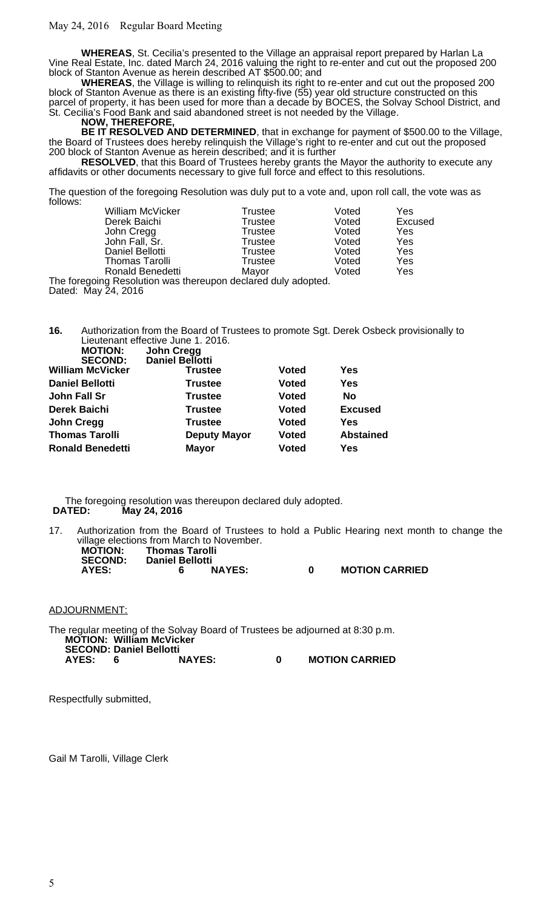**WHEREAS**, St. Cecilia's presented to the Village an appraisal report prepared by Harlan La Vine Real Estate, Inc. dated March 24, 2016 valuing the right to re-enter and cut out the proposed 200 block of Stanton Avenue as herein described AT \$500.00; and

**WHEREAS**, the Village is willing to relinquish its right to re-enter and cut out the proposed 200 block of Stanton Avenue as there is an existing fifty-five (55) year old structure constructed on this parcel of property, it has been used for more than a decade by BOCES, the Solvay School District, and St. Cecilia's Food Bank and said abandoned street is not needed by the Village.

**NOW, THEREFORE,** 

**BE IT RESOLVED AND DETERMINED**, that in exchange for payment of \$500.00 to the Village, the Board of Trustees does hereby relinquish the Village's right to re-enter and cut out the proposed 200 block of Stanton Avenue as herein described; and it is further

**RESOLVED**, that this Board of Trustees hereby grants the Mayor the authority to execute any affidavits or other documents necessary to give full force and effect to this resolutions.

The question of the foregoing Resolution was duly put to a vote and, upon roll call, the vote was as follows:

| <b>William McVicker</b>                                 | <b>Trustee</b> | Voted | Yes     |
|---------------------------------------------------------|----------------|-------|---------|
| Derek Baichi                                            | <b>Trustee</b> | Voted | Excused |
| John Cregg                                              | Trustee        | Voted | Yes     |
| John Fall, Sr.                                          | Trustee        | Voted | Yes     |
| Daniel Bellotti                                         | <b>Trustee</b> | Voted | Yes     |
| <b>Thomas Tarolli</b>                                   | Trustee        | Voted | Yes     |
| <b>Ronald Benedetti</b>                                 | Mayor          | Voted | Yes     |
| hetanbe vlub berelaeb good and the product of the paint |                |       |         |

tion was thereupon declared duly adopted. The foregoing Resolut<br>Dated: May 24, 2016

**16.** Authorization from the Board of Trustees to promote Sgt. Derek Osbeck provisionally to Lieutenant effective June 1. 2016.

| <b>MOTION:</b>          | <b>John Cregg</b>   |              |                  |
|-------------------------|---------------------|--------------|------------------|
| <b>SECOND:</b>          | Daniel Bellotti     |              |                  |
| <b>William McVicker</b> | <b>Trustee</b>      | <b>Voted</b> | Yes              |
| <b>Daniel Bellotti</b>  | <b>Trustee</b>      | <b>Voted</b> | Yes              |
| <b>John Fall Sr</b>     | <b>Trustee</b>      | <b>Voted</b> | No               |
| <b>Derek Baichi</b>     | <b>Trustee</b>      | <b>Voted</b> | <b>Excused</b>   |
| <b>John Cregg</b>       | <b>Trustee</b>      | <b>Voted</b> | Yes              |
| <b>Thomas Tarolli</b>   | <b>Deputy Mayor</b> | <b>Voted</b> | <b>Abstained</b> |
| <b>Ronald Benedetti</b> | <b>Mayor</b>        | <b>Voted</b> | Yes              |

The foregoing resolution was thereupon declared duly adopted. **DATED: May 24, 2016**

17. Authorization from the Board of Trustees to hold a Public Hearing next month to change the village elections from March to November.

| <b>MOTION:</b><br><b>SECOND:</b> | <b>Thomas Tarolli</b><br><b>Daniel Bellotti</b> |               |                       |
|----------------------------------|-------------------------------------------------|---------------|-----------------------|
| AYES:                            |                                                 | <b>NAYES:</b> | <b>MOTION CARRIED</b> |

ADJOURNMENT:

The regular meeting of the Solvay Board of Trustees be adjourned at 8:30 p.m. **MOTION: William McVicker SECOND: Daniel Bellotti AYES: 6 NAYES: 0 MOTION CARRIED**

Respectfully submitted,

Gail M Tarolli, Village Clerk